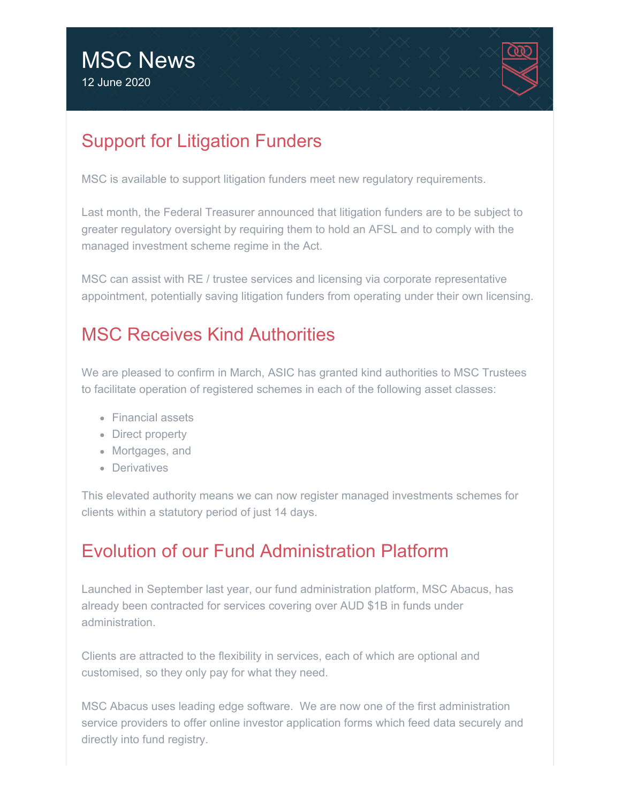



## Support for Litigation Funders

MSC is available to support litigation funders meet new regulatory requirements.

Last month, the Federal Treasurer announced that litigation funders are to be subject to greater regulatory oversight by requiring them to hold an AFSL and to comply with the managed investment scheme regime in the Act.

MSC can assist with RE / trustee services and licensing via corporate representative appointment, potentially saving litigation funders from operating under their own licensing.

## MSC Receives Kind Authorities

We are pleased to confirm in March, ASIC has granted kind authorities to MSC Trustees to facilitate operation of registered schemes in each of the following asset classes:

- Financial assets
- Direct property
- Mortgages, and
- **•** Derivatives

This elevated authority means we can now register managed investments schemes for clients within a statutory period of just 14 days.

## Evolution of our Fund Administration Platform

Launched in September last year, our fund administration platform, MSC Abacus, has already been contracted for services covering over AUD \$1B in funds under administration.

Clients are attracted to the flexibility in services, each of which are optional and customised, so they only pay for what they need.

MSC Abacus uses leading edge software. We are now one of the first administration service providers to offer online investor application forms which feed data securely and directly into fund registry.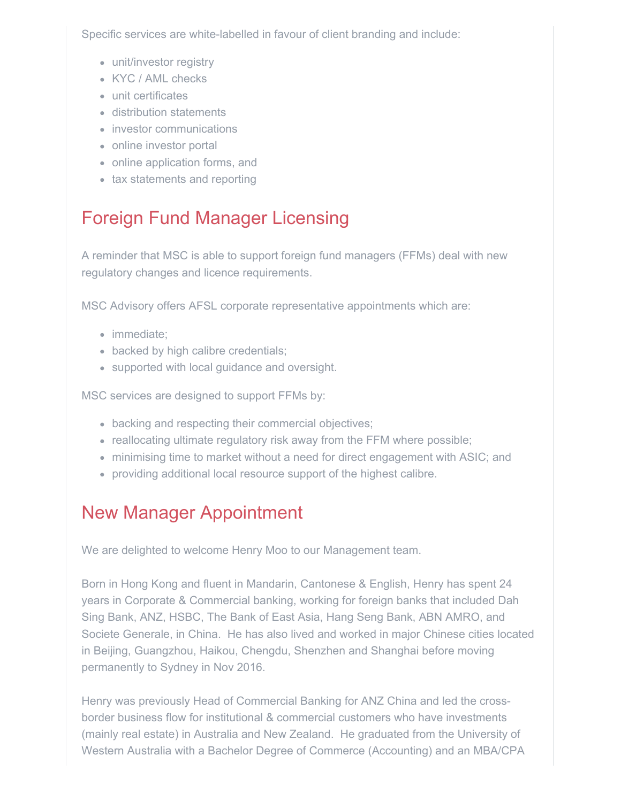Specific services are white-labelled in favour of client branding and include:

- unit/investor registry
- KYC / AML checks
- unit certificates
- distribution statements
- investor communications
- online investor portal
- online application forms, and
- tax statements and reporting

# Foreign Fund Manager Licensing

A reminder that MSC is able to support foreign fund managers (FFMs) deal with new regulatory changes and licence requirements.

MSC Advisory offers AFSL corporate representative appointments which are:

- immediate:
- backed by high calibre credentials;
- supported with local guidance and oversight.

MSC services are designed to support FFMs by:

- backing and respecting their commercial objectives;
- reallocating ultimate regulatory risk away from the FFM where possible;
- minimising time to market without a need for direct engagement with ASIC; and
- providing additional local resource support of the highest calibre.

## New Manager Appointment

We are delighted to welcome Henry Moo to our Management team.

Born in Hong Kong and fluent in Mandarin, Cantonese & English, Henry has spent 24 years in Corporate & Commercial banking, working for foreign banks that included Dah Sing Bank, ANZ, HSBC, The Bank of East Asia, Hang Seng Bank, ABN AMRO, and Societe Generale, in China. He has also lived and worked in major Chinese cities located in Beijing, Guangzhou, Haikou, Chengdu, Shenzhen and Shanghai before moving permanently to Sydney in Nov 2016.

Henry was previously Head of Commercial Banking for ANZ China and led the crossborder business flow for institutional & commercial customers who have investments (mainly real estate) in Australia and New Zealand. He graduated from the University of Western Australia with a Bachelor Degree of Commerce (Accounting) and an MBA/CPA